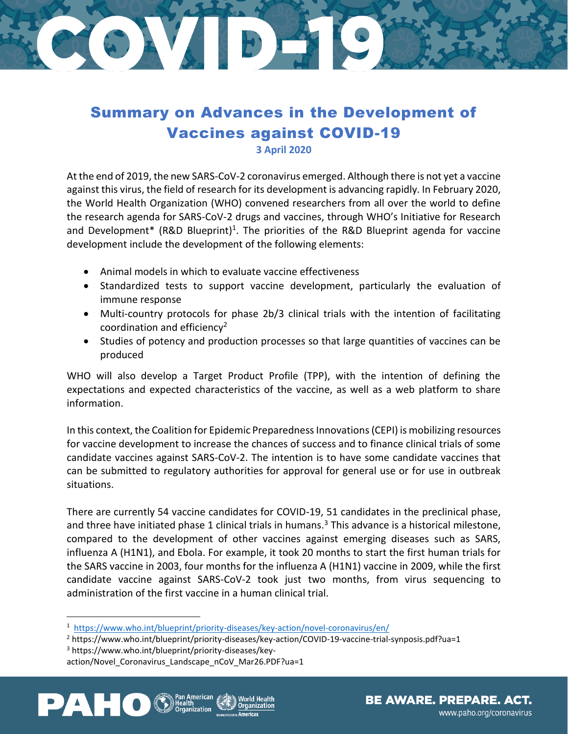## STORY BERT

## Summary on Advances in the Development of Vaccines against COVID-19 **3 April 2020**

At the end of 2019, the new SARS-CoV-2 coronavirus emerged. Although there is not yet a vaccine against this virus, the field of research for its development is advancing rapidly. In February 2020, the World Health Organization (WHO) convened researchers from all over the world to define the research agenda for SARS-CoV-2 drugs and vaccines, through WHO's Initiative for Research and Development\* (R&D Blueprint)<sup>1</sup>. The priorities of the R&D Blueprint agenda for vaccine development include the development of the following elements:

- Animal models in which to evaluate vaccine effectiveness
- Standardized tests to support vaccine development, particularly the evaluation of immune response
- Multi-country protocols for phase 2b/3 clinical trials with the intention of facilitating coordination and efficiency<sup>2</sup>
- Studies of potency and production processes so that large quantities of vaccines can be produced

WHO will also develop a Target Product Profile (TPP), with the intention of defining the expectations and expected characteristics of the vaccine, as well as a web platform to share information.

In this context, the Coalition for Epidemic Preparedness Innovations (CEPI) is mobilizing resources for vaccine development to increase the chances of success and to finance clinical trials of some candidate vaccines against SARS-CoV-2. The intention is to have some candidate vaccines that can be submitted to regulatory authorities for approval for general use or for use in outbreak situations.

There are currently 54 vaccine candidates for COVID-19, 51 candidates in the preclinical phase, and three have initiated phase 1 clinical trials in humans.<sup>3</sup> This advance is a historical milestone, compared to the development of other vaccines against emerging diseases such as SARS, influenza A (H1N1), and Ebola. For example, it took 20 months to start the first human trials for the SARS vaccine in 2003, four months for the influenza A (H1N1) vaccine in 2009, while the first candidate vaccine against SARS-CoV-2 took just two months, from virus sequencing to administration of the first vaccine in a human clinical trial.

action/Novel\_Coronavirus\_Landscape\_nCoV\_Mar26.PDF?ua=1



<sup>&</sup>lt;sup>1</sup> <https://www.who.int/blueprint/priority-diseases/key-action/novel-coronavirus/en/>

<sup>2</sup> https://www.who.int/blueprint/priority-diseases/key-action/COVID-19-vaccine-trial-synposis.pdf?ua=1

<sup>3</sup> https://www.who.int/blueprint/priority-diseases/key-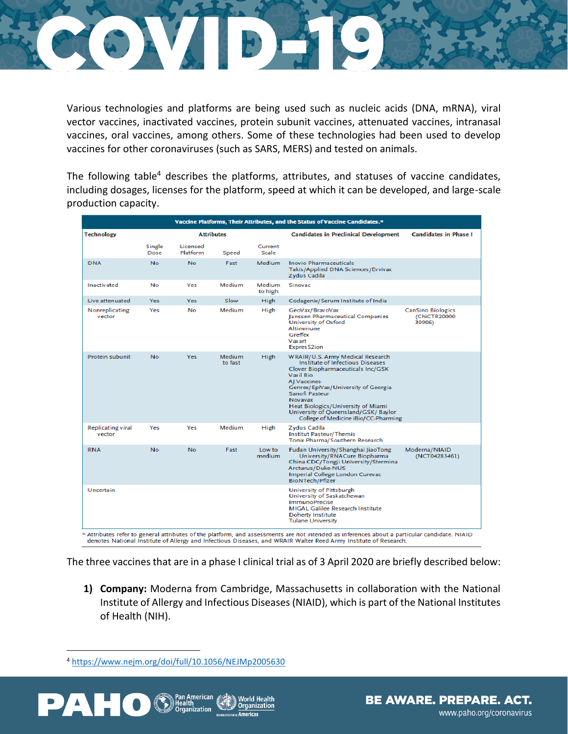

Various technologies and platforms are being used such as nucleic acids (DNA, mRNA), viral vector vaccines, inactivated vaccines, protein subunit vaccines, attenuated vaccines, intranasal vaccines, oral vaccines, among others. Some of these technologies had been used to develop vaccines for other coronaviruses (such as SARS, MERS) and tested on animals.

The following table<sup>4</sup> describes the platforms, attributes, and statuses of vaccine candidates, including dosages, licenses for the platform, speed at which it can be developed, and large-scale production capacity.

| Vaccine Platforms, Their Attributes, and the Status of Vaccine Candidates.* |                   |                      |                          |                   |                                                                                                                                                                                                                                                                                                                                 |                                                    |
|-----------------------------------------------------------------------------|-------------------|----------------------|--------------------------|-------------------|---------------------------------------------------------------------------------------------------------------------------------------------------------------------------------------------------------------------------------------------------------------------------------------------------------------------------------|----------------------------------------------------|
| Technology                                                                  | <b>Attributes</b> |                      |                          |                   | <b>Candidates in Preclinical Development</b>                                                                                                                                                                                                                                                                                    | <b>Candidates in Phase I</b>                       |
|                                                                             | Single<br>Dose    | Licensed<br>Platform | Speed                    | Current<br>Scale  |                                                                                                                                                                                                                                                                                                                                 |                                                    |
| <b>DNA</b>                                                                  | No.               | No.                  | Fast                     | Medium            | <b>Inovio Pharmaceuticals</b><br>Takis/Applied DNA Sciences/Evvivax<br>Zydus Cadila                                                                                                                                                                                                                                             |                                                    |
| <b>Inactivated</b>                                                          | No                | Yes                  | <b>Medium</b>            | Medium<br>to high | Sinovac                                                                                                                                                                                                                                                                                                                         |                                                    |
| Live attenuated                                                             | Yes               | Yes                  | Slow                     | High              | Codagenix/Serum Institute of India                                                                                                                                                                                                                                                                                              |                                                    |
| Nonreplicating<br>vector                                                    | Yes               | No                   | Medium                   | High              | GeoVax/BravoVax<br>Janssen Pharmaceutical Companies<br>University of Oxford<br>Altimmune<br>Greffex<br>Vaxart<br><b>ExpresS2ion</b>                                                                                                                                                                                             | <b>CanSino Biologics</b><br>(ChiCTR20000<br>30906) |
| Protein subunit                                                             | <b>No</b>         | Yes                  | <b>Medium</b><br>to fast | High              | WRAIR/U.S. Army Medical Research<br>Institute of Infectious Diseases<br>Clover Biopharmaceuticals Inc/GSK<br>Vaxil Bio<br>AJ Vaccines<br>Genrex/EpiVax/University of Georgia<br>Sanofi Pasteur<br>Novavax<br>Heat Biologics/University of Miami<br>University of Queensland/GSK/ Baylor<br>College of Medicine iBio/CC-Pharming |                                                    |
| Replicating viral<br>vector                                                 | Yes               | Yes                  | <b>Medium</b>            | High              | Zydus Cadila<br><b>Institut Pasteur/Themis</b><br>Tonix Pharma/Southern Research                                                                                                                                                                                                                                                |                                                    |
| <b>RNA</b>                                                                  | <b>No</b>         | No.                  | Fast                     | Low to<br>medium. | Fudan University/Shanghai JiaoTong<br>University/RNACure Biopharma<br>China CDC/Tongji University/Stermina<br>Arcturus/Duke-NUS<br>Imperial College London Curevac<br>BioNTech/Pfizer                                                                                                                                           | Moderna/NIAID<br>(NCT04283461)                     |
| Uncertain                                                                   |                   |                      |                          |                   | University of Pittsburgh<br>University of Saskatchewan<br><b>ImmunoPrecise</b><br>MIGAL Galilee Research Institute<br>Doherty Institute<br><b>Tulane University</b>                                                                                                                                                             |                                                    |

The three vaccines that are in a phase I clinical trial as of 3 April 2020 are briefly described below:

**1) Company:** Moderna from Cambridge, Massachusetts in collaboration with the National Institute of Allergy and Infectious Diseases (NIAID), which is part of the National Institutes of Health (NIH).

<sup>4</sup> <https://www.nejm.org/doi/full/10.1056/NEJMp2005630>



**BE AWARE. PREPARE. ACT.** www.paho.org/coronavirus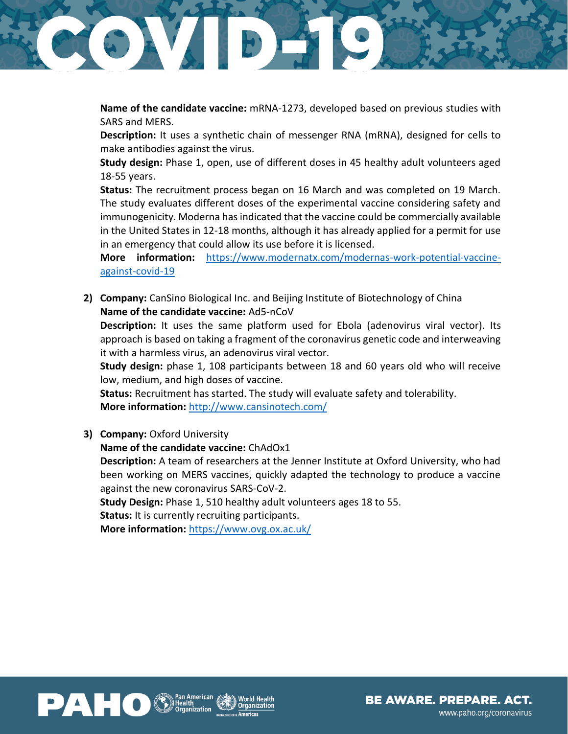

**Name of the candidate vaccine:** mRNA-1273, developed based on previous studies with SARS and MERS.

**Description:** It uses a synthetic chain of messenger RNA (mRNA), designed for cells to make antibodies against the virus.

**Study design:** Phase 1, open, use of different doses in 45 healthy adult volunteers aged 18-55 years.

**Status:** The recruitment process began on 16 March and was completed on 19 March. The study evaluates different doses of the experimental vaccine considering safety and immunogenicity. Moderna has indicated that the vaccine could be commercially available in the United States in 12-18 months, although it has already applied for a permit for use in an emergency that could allow its use before it is licensed.

**More information:** [https://www.modernatx.com/modernas-work-potential-vaccine](https://www.modernatx.com/modernas-work-potential-vaccine-against-covid-19)[against-covid-19](https://www.modernatx.com/modernas-work-potential-vaccine-against-covid-19)

**2) Company:** CanSino Biological Inc. and Beijing Institute of Biotechnology of China **Name of the candidate vaccine:** Ad5-nCoV

**Description:** It uses the same platform used for Ebola (adenovirus viral vector). Its approach is based on taking a fragment of the coronavirus genetic code and interweaving it with a harmless virus, an adenovirus viral vector.

**Study design:** phase 1, 108 participants between 18 and 60 years old who will receive low, medium, and high doses of vaccine.

**Status:** Recruitment has started. The study will evaluate safety and tolerability. **More information:** <http://www.cansinotech.com/>

**3) Company:** Oxford University

**Name of the candidate vaccine:** ChAdOx1

**Description:** A team of researchers at the Jenner Institute at Oxford University, who had been working on MERS vaccines, quickly adapted the technology to produce a vaccine against the new coronavirus SARS-CoV-2.

**Study Design:** Phase 1, 510 healthy adult volunteers ages 18 to 55.

**Status:** It is currently recruiting participants.

**More information:** <https://www.ovg.ox.ac.uk/>



**BE AWARE. PREPARE. ACT.** www.paho.org/coronavirus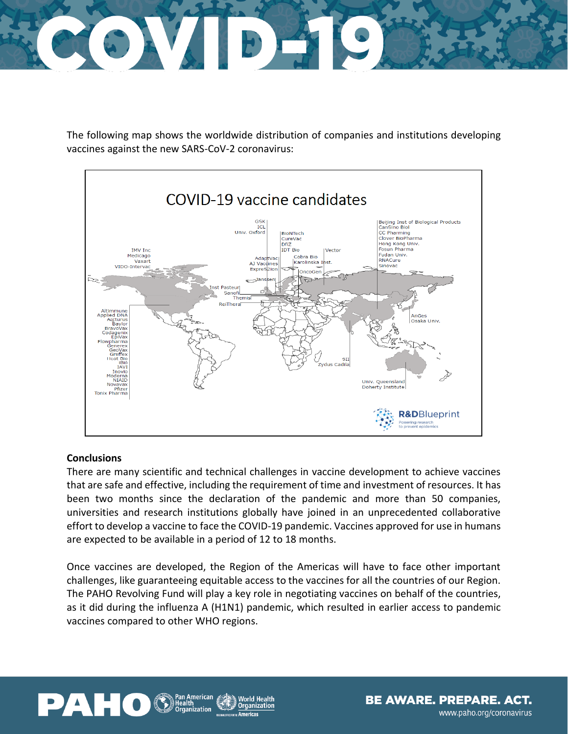

The following map shows the worldwide distribution of companies and institutions developing vaccines against the new SARS-CoV-2 coronavirus:



## **Conclusions**

There are many scientific and technical challenges in vaccine development to achieve vaccines that are safe and effective, including the requirement of time and investment of resources. It has been two months since the declaration of the pandemic and more than 50 companies, universities and research institutions globally have joined in an unprecedented collaborative effort to develop a vaccine to face the COVID-19 pandemic. Vaccines approved for use in humans are expected to be available in a period of 12 to 18 months.

Once vaccines are developed, the Region of the Americas will have to face other important challenges, like guaranteeing equitable access to the vaccines for all the countries of our Region. The PAHO Revolving Fund will play a key role in negotiating vaccines on behalf of the countries, as it did during the influenza A (H1N1) pandemic, which resulted in earlier access to pandemic vaccines compared to other WHO regions.





BE AWARE. PREPARE. ACT. www.paho.org/coronavirus